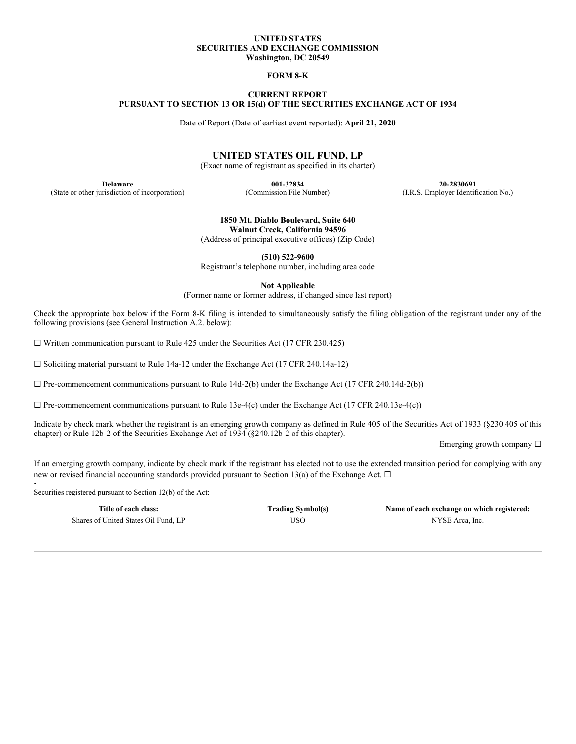#### **UNITED STATES SECURITIES AND EXCHANGE COMMISSION Washington, DC 20549**

### **FORM 8-K**

## **CURRENT REPORT PURSUANT TO SECTION 13 OR 15(d) OF THE SECURITIES EXCHANGE ACT OF 1934**

Date of Report (Date of earliest event reported): **April 21, 2020**

# **UNITED STATES OIL FUND, LP**

(Exact name of registrant as specified in its charter)

(State or other jurisdiction of incorporation) (Commission File Number) (I.R.S. Employer Identification No.)

**Delaware 001-32834 20-2830691**

**1850 Mt. Diablo Boulevard, Suite 640 Walnut Creek, California 94596** (Address of principal executive offices) (Zip Code)

**(510) 522-9600** Registrant's telephone number, including area code

**Not Applicable**

(Former name or former address, if changed since last report)

Check the appropriate box below if the Form 8-K filing is intended to simultaneously satisfy the filing obligation of the registrant under any of the following provisions (see General Instruction A.2. below):

 $\Box$  Written communication pursuant to Rule 425 under the Securities Act (17 CFR 230.425)

 $\Box$  Soliciting material pursuant to Rule 14a-12 under the Exchange Act (17 CFR 240.14a-12)

 $\Box$  Pre-commencement communications pursuant to Rule 14d-2(b) under the Exchange Act (17 CFR 240.14d-2(b))

 $\Box$  Pre-commencement communications pursuant to Rule 13e-4(c) under the Exchange Act (17 CFR 240.13e-4(c))

Indicate by check mark whether the registrant is an emerging growth company as defined in Rule 405 of the Securities Act of 1933 (§230.405 of this chapter) or Rule 12b-2 of the Securities Exchange Act of 1934 (§240.12b-2 of this chapter).

Emerging growth company ☐

If an emerging growth company, indicate by check mark if the registrant has elected not to use the extended transition period for complying with any new or revised financial accounting standards provided pursuant to Section 13(a) of the Exchange Act.  $\Box$ 

. Securities registered pursuant to Section 12(b) of the Act:

| Title of each class:                 | <b>Trading Symbol(s)</b> | Name of each exchange on which registered: |
|--------------------------------------|--------------------------|--------------------------------------------|
| Shares of United States Oil Fund, LP | USO                      | NYSE Area, Inc.                            |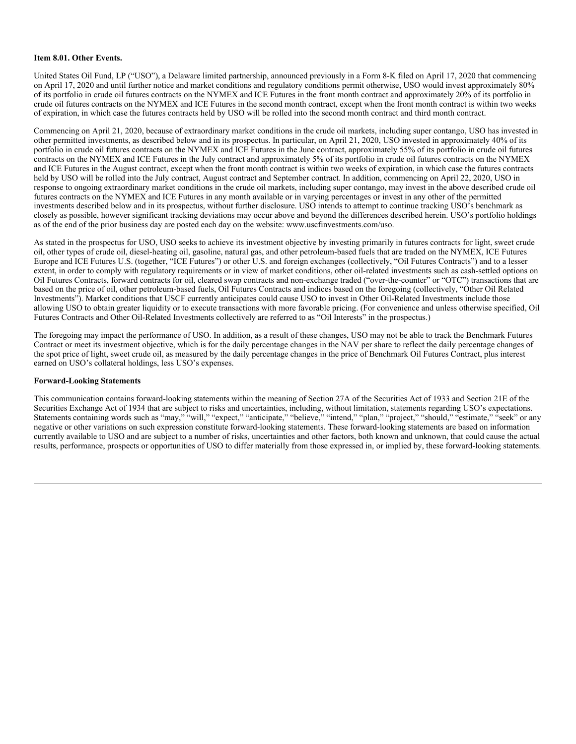### **Item 8.01. Other Events.**

United States Oil Fund, LP ("USO"), a Delaware limited partnership, announced previously in a Form 8-K filed on April 17, 2020 that commencing on April 17, 2020 and until further notice and market conditions and regulatory conditions permit otherwise, USO would invest approximately 80% of its portfolio in crude oil futures contracts on the NYMEX and ICE Futures in the front month contract and approximately 20% of its portfolio in crude oil futures contracts on the NYMEX and ICE Futures in the second month contract, except when the front month contract is within two weeks of expiration, in which case the futures contracts held by USO will be rolled into the second month contract and third month contract.

Commencing on April 21, 2020, because of extraordinary market conditions in the crude oil markets, including super contango, USO has invested in other permitted investments, as described below and in its prospectus. In particular, on April 21, 2020, USO invested in approximately 40% of its portfolio in crude oil futures contracts on the NYMEX and ICE Futures in the June contract, approximately 55% of its portfolio in crude oil futures contracts on the NYMEX and ICE Futures in the July contract and approximately 5% of its portfolio in crude oil futures contracts on the NYMEX and ICE Futures in the August contract, except when the front month contract is within two weeks of expiration, in which case the futures contracts held by USO will be rolled into the July contract, August contract and September contract. In addition, commencing on April 22, 2020, USO in response to ongoing extraordinary market conditions in the crude oil markets, including super contango, may invest in the above described crude oil futures contracts on the NYMEX and ICE Futures in any month available or in varying percentages or invest in any other of the permitted investments described below and in its prospectus, without further disclosure. USO intends to attempt to continue tracking USO's benchmark as closely as possible, however significant tracking deviations may occur above and beyond the differences described herein. USO's portfolio holdings as of the end of the prior business day are posted each day on the website: www.uscfinvestments.com/uso.

As stated in the prospectus for USO, USO seeks to achieve its investment objective by investing primarily in futures contracts for light, sweet crude oil, other types of crude oil, diesel-heating oil, gasoline, natural gas, and other petroleum-based fuels that are traded on the NYMEX, ICE Futures Europe and ICE Futures U.S. (together, "ICE Futures") or other U.S. and foreign exchanges (collectively, "Oil Futures Contracts") and to a lesser extent, in order to comply with regulatory requirements or in view of market conditions, other oil-related investments such as cash-settled options on Oil Futures Contracts, forward contracts for oil, cleared swap contracts and non-exchange traded ("over-the-counter" or "OTC") transactions that are based on the price of oil, other petroleum-based fuels, Oil Futures Contracts and indices based on the foregoing (collectively, "Other Oil Related Investments"). Market conditions that USCF currently anticipates could cause USO to invest in Other Oil-Related Investments include those allowing USO to obtain greater liquidity or to execute transactions with more favorable pricing. (For convenience and unless otherwise specified, Oil Futures Contracts and Other Oil-Related Investments collectively are referred to as "Oil Interests" in the prospectus.)

The foregoing may impact the performance of USO. In addition, as a result of these changes, USO may not be able to track the Benchmark Futures Contract or meet its investment objective, which is for the daily percentage changes in the NAV per share to reflect the daily percentage changes of the spot price of light, sweet crude oil, as measured by the daily percentage changes in the price of Benchmark Oil Futures Contract, plus interest earned on USO's collateral holdings, less USO's expenses.

#### **Forward-Looking Statements**

This communication contains forward-looking statements within the meaning of Section 27A of the Securities Act of 1933 and Section 21E of the Securities Exchange Act of 1934 that are subject to risks and uncertainties, including, without limitation, statements regarding USO's expectations. Statements containing words such as "may," "will," "expect," "anticipate," "believe," "intend," "plan," "project," "should," "estimate," "seek" or any negative or other variations on such expression constitute forward-looking statements. These forward-looking statements are based on information currently available to USO and are subject to a number of risks, uncertainties and other factors, both known and unknown, that could cause the actual results, performance, prospects or opportunities of USO to differ materially from those expressed in, or implied by, these forward-looking statements.